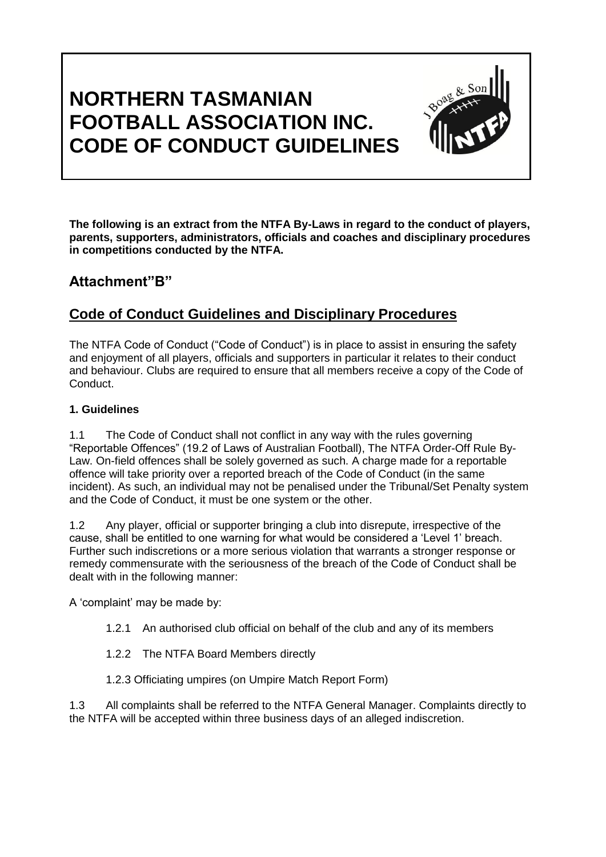# **NORTHERN TASMANIAN FOOTBALL ASSOCIATION INC. CODE OF CONDUCT GUIDELINES**



**The following is an extract from the NTFA By-Laws in regard to the conduct of players, parents, supporters, administrators, officials and coaches and disciplinary procedures in competitions conducted by the NTFA.**

# **Attachment"B"**

# **Code of Conduct Guidelines and Disciplinary Procedures**

The NTFA Code of Conduct ("Code of Conduct") is in place to assist in ensuring the safety and enjoyment of all players, officials and supporters in particular it relates to their conduct and behaviour. Clubs are required to ensure that all members receive a copy of the Code of Conduct.

# **1. Guidelines**

1.1 The Code of Conduct shall not conflict in any way with the rules governing "Reportable Offences" (19.2 of Laws of Australian Football), The NTFA Order-Off Rule By-Law. On-field offences shall be solely governed as such. A charge made for a reportable offence will take priority over a reported breach of the Code of Conduct (in the same incident). As such, an individual may not be penalised under the Tribunal/Set Penalty system and the Code of Conduct, it must be one system or the other.

1.2 Any player, official or supporter bringing a club into disrepute, irrespective of the cause, shall be entitled to one warning for what would be considered a 'Level 1' breach. Further such indiscretions or a more serious violation that warrants a stronger response or remedy commensurate with the seriousness of the breach of the Code of Conduct shall be dealt with in the following manner:

A 'complaint' may be made by:

- 1.2.1 An authorised club official on behalf of the club and any of its members
- 1.2.2 The NTFA Board Members directly
- 1.2.3 Officiating umpires (on Umpire Match Report Form)

1.3 All complaints shall be referred to the NTFA General Manager. Complaints directly to the NTFA will be accepted within three business days of an alleged indiscretion.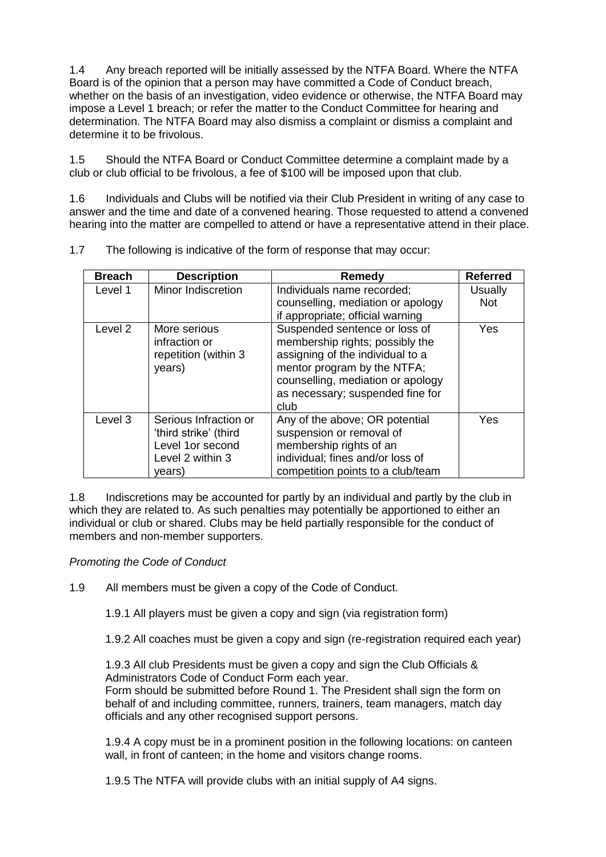1.4 Any breach reported will be initially assessed by the NTFA Board. Where the NTFA Board is of the opinion that a person may have committed a Code of Conduct breach, whether on the basis of an investigation, video evidence or otherwise, the NTFA Board may impose a Level 1 breach; or refer the matter to the Conduct Committee for hearing and determination. The NTFA Board may also dismiss a complaint or dismiss a complaint and determine it to be frivolous.

1.5 Should the NTFA Board or Conduct Committee determine a complaint made by a club or club official to be frivolous, a fee of \$100 will be imposed upon that club.

1.6 Individuals and Clubs will be notified via their Club President in writing of any case to answer and the time and date of a convened hearing. Those requested to attend a convened hearing into the matter are compelled to attend or have a representative attend in their place.

| <b>Breach</b>      | <b>Description</b>                                                                               | <b>Remedy</b>                                                                                                                                                                                                        | <b>Referred</b> |
|--------------------|--------------------------------------------------------------------------------------------------|----------------------------------------------------------------------------------------------------------------------------------------------------------------------------------------------------------------------|-----------------|
| Level 1            | Minor Indiscretion                                                                               | Individuals name recorded;                                                                                                                                                                                           | Usually         |
|                    |                                                                                                  | counselling, mediation or apology                                                                                                                                                                                    | <b>Not</b>      |
|                    |                                                                                                  | if appropriate; official warning                                                                                                                                                                                     |                 |
| Level <sub>2</sub> | More serious<br>infraction or<br>repetition (within 3<br>years)                                  | Suspended sentence or loss of<br>membership rights; possibly the<br>assigning of the individual to a<br>mentor program by the NTFA;<br>counselling, mediation or apology<br>as necessary; suspended fine for<br>club | Yes             |
| Level 3            | Serious Infraction or<br>'third strike' (third<br>Level 1or second<br>Level 2 within 3<br>years) | Any of the above; OR potential<br>suspension or removal of<br>membership rights of an<br>individual; fines and/or loss of<br>competition points to a club/team                                                       | Yes             |

1.7 The following is indicative of the form of response that may occur:

1.8 Indiscretions may be accounted for partly by an individual and partly by the club in which they are related to. As such penalties may potentially be apportioned to either an individual or club or shared. Clubs may be held partially responsible for the conduct of members and non-member supporters.

## *Promoting the Code of Conduct*

1.9 All members must be given a copy of the Code of Conduct.

1.9.1 All players must be given a copy and sign (via registration form)

1.9.2 All coaches must be given a copy and sign (re-registration required each year)

1.9.3 All club Presidents must be given a copy and sign the Club Officials & Administrators Code of Conduct Form each year. Form should be submitted before Round 1. The President shall sign the form on behalf of and including committee, runners, trainers, team managers, match day officials and any other recognised support persons.

1.9.4 A copy must be in a prominent position in the following locations: on canteen wall, in front of canteen; in the home and visitors change rooms.

1.9.5 The NTFA will provide clubs with an initial supply of A4 signs.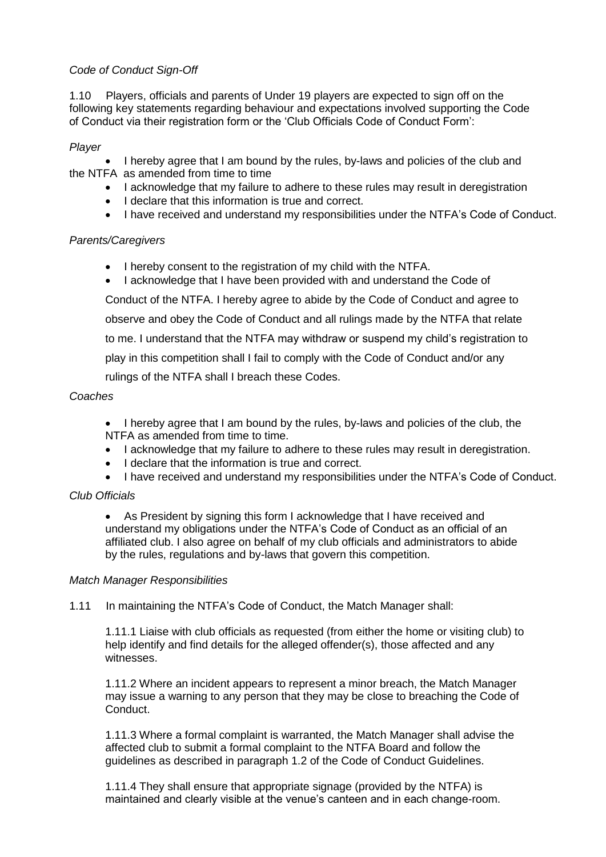# *Code of Conduct Sign-Off*

1.10 Players, officials and parents of Under 19 players are expected to sign off on the following key statements regarding behaviour and expectations involved supporting the Code of Conduct via their registration form or the 'Club Officials Code of Conduct Form':

# *Player*

• I hereby agree that I am bound by the rules, by-laws and policies of the club and the NTFA as amended from time to time

- I acknowledge that my failure to adhere to these rules may result in deregistration
- I declare that this information is true and correct.
- I have received and understand my responsibilities under the NTFA's Code of Conduct.

# *Parents/Caregivers*

- I hereby consent to the registration of my child with the NTFA.
- I acknowledge that I have been provided with and understand the Code of

Conduct of the NTFA. I hereby agree to abide by the Code of Conduct and agree to observe and obey the Code of Conduct and all rulings made by the NTFA that relate to me. I understand that the NTFA may withdraw or suspend my child's registration to play in this competition shall I fail to comply with the Code of Conduct and/or any rulings of the NTFA shall I breach these Codes.

## *Coaches*

- I hereby agree that I am bound by the rules, by-laws and policies of the club, the NTFA as amended from time to time.
- I acknowledge that my failure to adhere to these rules may result in deregistration.
- I declare that the information is true and correct.
- I have received and understand my responsibilities under the NTFA's Code of Conduct.

## *Club Officials*

 As President by signing this form I acknowledge that I have received and understand my obligations under the NTFA's Code of Conduct as an official of an affiliated club. I also agree on behalf of my club officials and administrators to abide by the rules, regulations and by-laws that govern this competition.

## *Match Manager Responsibilities*

1.11 In maintaining the NTFA's Code of Conduct, the Match Manager shall:

1.11.1 Liaise with club officials as requested (from either the home or visiting club) to help identify and find details for the alleged offender(s), those affected and any witnesses.

1.11.2 Where an incident appears to represent a minor breach, the Match Manager may issue a warning to any person that they may be close to breaching the Code of Conduct.

1.11.3 Where a formal complaint is warranted, the Match Manager shall advise the affected club to submit a formal complaint to the NTFA Board and follow the guidelines as described in paragraph 1.2 of the Code of Conduct Guidelines.

1.11.4 They shall ensure that appropriate signage (provided by the NTFA) is maintained and clearly visible at the venue's canteen and in each change-room.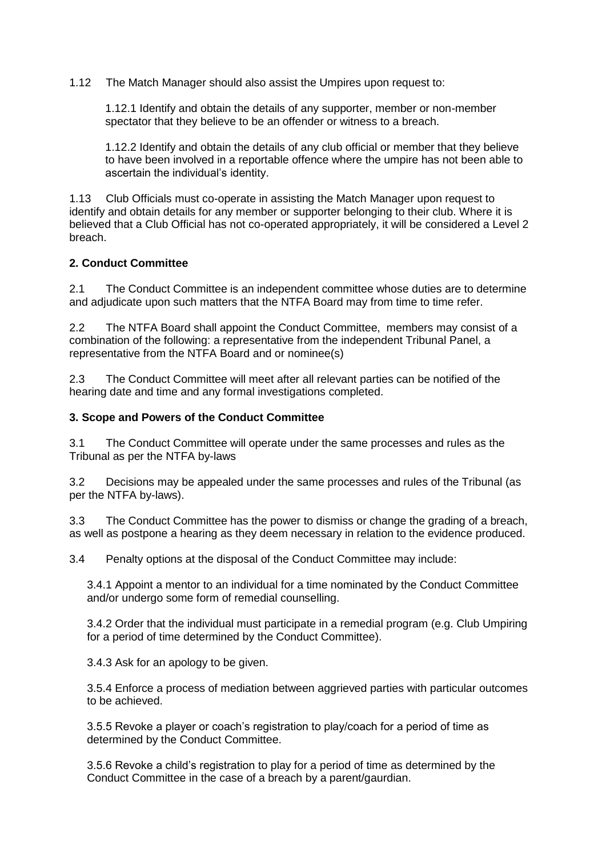1.12 The Match Manager should also assist the Umpires upon request to:

1.12.1 Identify and obtain the details of any supporter, member or non-member spectator that they believe to be an offender or witness to a breach.

1.12.2 Identify and obtain the details of any club official or member that they believe to have been involved in a reportable offence where the umpire has not been able to ascertain the individual's identity.

1.13 Club Officials must co-operate in assisting the Match Manager upon request to identify and obtain details for any member or supporter belonging to their club. Where it is believed that a Club Official has not co-operated appropriately, it will be considered a Level 2 breach.

#### **2. Conduct Committee**

2.1 The Conduct Committee is an independent committee whose duties are to determine and adjudicate upon such matters that the NTFA Board may from time to time refer.

2.2 The NTFA Board shall appoint the Conduct Committee, members may consist of a combination of the following: a representative from the independent Tribunal Panel, a representative from the NTFA Board and or nominee(s)

2.3 The Conduct Committee will meet after all relevant parties can be notified of the hearing date and time and any formal investigations completed.

#### **3. Scope and Powers of the Conduct Committee**

3.1 The Conduct Committee will operate under the same processes and rules as the Tribunal as per the NTFA by-laws

3.2 Decisions may be appealed under the same processes and rules of the Tribunal (as per the NTFA by-laws).

3.3 The Conduct Committee has the power to dismiss or change the grading of a breach, as well as postpone a hearing as they deem necessary in relation to the evidence produced.

3.4 Penalty options at the disposal of the Conduct Committee may include:

3.4.1 Appoint a mentor to an individual for a time nominated by the Conduct Committee and/or undergo some form of remedial counselling.

3.4.2 Order that the individual must participate in a remedial program (e.g. Club Umpiring for a period of time determined by the Conduct Committee).

3.4.3 Ask for an apology to be given.

3.5.4 Enforce a process of mediation between aggrieved parties with particular outcomes to be achieved.

3.5.5 Revoke a player or coach's registration to play/coach for a period of time as determined by the Conduct Committee.

3.5.6 Revoke a child's registration to play for a period of time as determined by the Conduct Committee in the case of a breach by a parent/gaurdian.